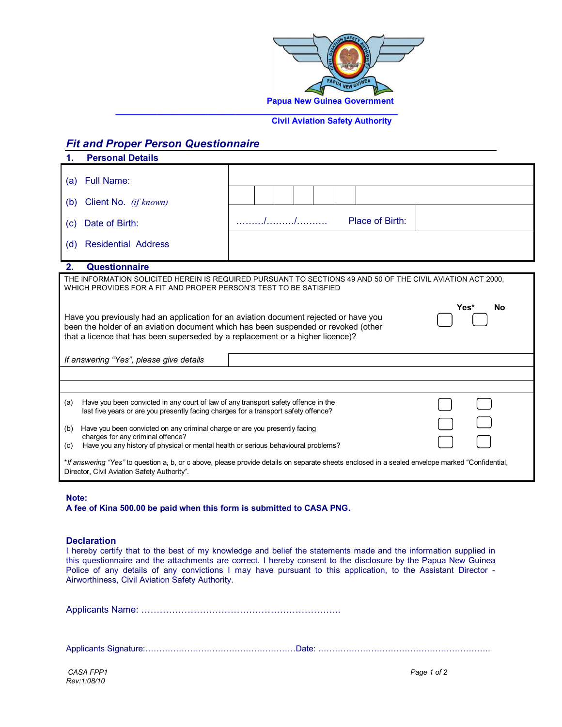

**Civil Aviation Safety Authority**

## *Fit and Proper Person Questionnaire*

| <b>Personal Details</b><br>1.                                                                                                                                                                                                                                                                                                                                                                                                                                                                                    |                 |
|------------------------------------------------------------------------------------------------------------------------------------------------------------------------------------------------------------------------------------------------------------------------------------------------------------------------------------------------------------------------------------------------------------------------------------------------------------------------------------------------------------------|-----------------|
| Full Name:<br>(a)<br>Client No. (if known)<br>(b)                                                                                                                                                                                                                                                                                                                                                                                                                                                                |                 |
| Date of Birth:<br>(C)                                                                                                                                                                                                                                                                                                                                                                                                                                                                                            | Place of Birth: |
| <b>Residential Address</b><br>(d)                                                                                                                                                                                                                                                                                                                                                                                                                                                                                |                 |
| Questionnaire<br>2.                                                                                                                                                                                                                                                                                                                                                                                                                                                                                              |                 |
| THE INFORMATION SOLICITED HEREIN IS REQUIRED PURSUANT TO SECTIONS 49 AND 50 OF THE CIVIL AVIATION ACT 2000.<br>WHICH PROVIDES FOR A FIT AND PROPER PERSON'S TEST TO BE SATISFIED<br>Yes*<br><b>No</b><br>Have you previously had an application for an aviation document rejected or have you<br>been the holder of an aviation document which has been suspended or revoked (other<br>that a licence that has been superseded by a replacement or a higher licence)?<br>If answering "Yes", please give details |                 |
|                                                                                                                                                                                                                                                                                                                                                                                                                                                                                                                  |                 |
| Have you been convicted in any court of law of any transport safety offence in the<br>(a)<br>last five years or are you presently facing charges for a transport safety offence?                                                                                                                                                                                                                                                                                                                                 |                 |
| Have you been convicted on any criminal charge or are you presently facing<br>(b)<br>charges for any criminal offence?<br>Have you any history of physical or mental health or serious behavioural problems?<br>(c)                                                                                                                                                                                                                                                                                              |                 |
| *If answering "Yes" to question a, b, or c above, please provide details on separate sheets enclosed in a sealed envelope marked "Confidential,<br>Director, Civil Aviation Safety Authority".                                                                                                                                                                                                                                                                                                                   |                 |

## **Note:**

**A fee of Kina 500.00 be paid when this form is submitted to CASA PNG.**

## **Declaration**

I hereby certify that to the best of my knowledge and belief the statements made and the information supplied in this questionnaire and the attachments are correct. I hereby consent to the disclosure by the Papua New Guinea Police of any details of any convictions I may have pursuant to this application, to the Assistant Director -Airworthiness, Civil Aviation Safety Authority.

Applicants Name: ………………………………………………………..

Applicants Signature:…………………………………………………………Date: …………………………………………………………………………………